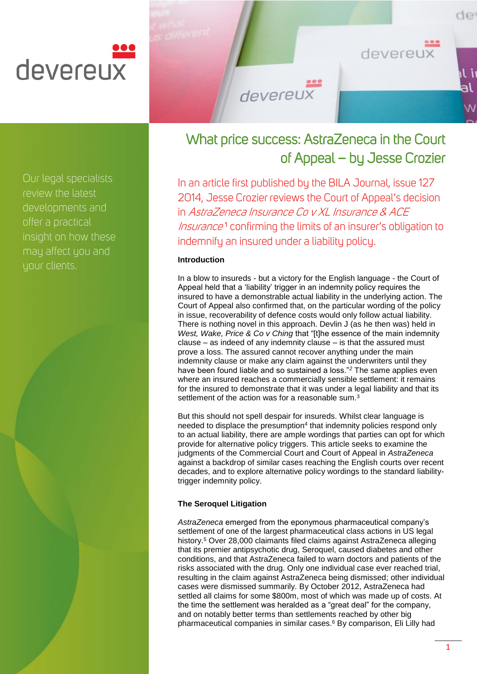# devereux

Our legal specialists review the latest developments and offer a practical insight on how these may affect you and your clients.

# What price success: AstraZeneca in the Court of Appeal – by Jesse Crozier

devereux

In an article first published by the BILA Journal, issue 127 2014, Jesse Crozier reviews the Court of Appeal's decision in AstraZeneca Insurance Co v XL Insurance & ACE Insurance<sup>1</sup> confirming the limits of an insurer's obligation to indemnify an insured under a liability policy.

# **Introduction**

In a blow to insureds - but a victory for the English language - the Court of Appeal held that a 'liability' trigger in an indemnity policy requires the insured to have a demonstrable actual liability in the underlying action. The Court of Appeal also confirmed that, on the particular wording of the policy in issue, recoverability of defence costs would only follow actual liability. There is nothing novel in this approach. Devlin J (as he then was) held in *West, Wake, Price & Co v Ching* that "[t]he essence of the main indemnity clause – as indeed of any indemnity clause – is that the assured must prove a loss. The assured cannot recover anything under the main indemnity clause or make any claim against the underwriters until they have been found liable and so sustained a loss."<sup>2</sup> The same applies even where an insured reaches a commercially sensible settlement: it remains for the insured to demonstrate that it was under a legal liability and that its settlement of the action was for a reasonable sum.<sup>3</sup>

But this should not spell despair for insureds. Whilst clear language is needed to displace the presumption<sup>4</sup> that indemnity policies respond only to an actual liability, there are ample wordings that parties can opt for which provide for alternative policy triggers. This article seeks to examine the judgments of the Commercial Court and Court of Appeal in *AstraZeneca* against a backdrop of similar cases reaching the English courts over recent decades, and to explore alternative policy wordings to the standard liabilitytrigger indemnity policy.

## **The Seroquel Litigation**

*AstraZeneca* emerged from the eponymous pharmaceutical company's settlement of one of the largest pharmaceutical class actions in US legal history.<sup>5</sup> Over 28,000 claimants filed claims against AstraZeneca alleging that its premier antipsychotic drug, Seroquel, caused diabetes and other conditions, and that AstraZeneca failed to warn doctors and patients of the risks associated with the drug. Only one individual case ever reached trial, resulting in the claim against AstraZeneca being dismissed; other individual cases were dismissed summarily. By October 2012, AstraZeneca had settled all claims for some \$800m, most of which was made up of costs. At the time the settlement was heralded as a "great deal" for the company, and on notably better terms than settlements reached by other big pharmaceutical companies in similar cases.<sup>6</sup> By comparison, Eli Lilly had

de

devereux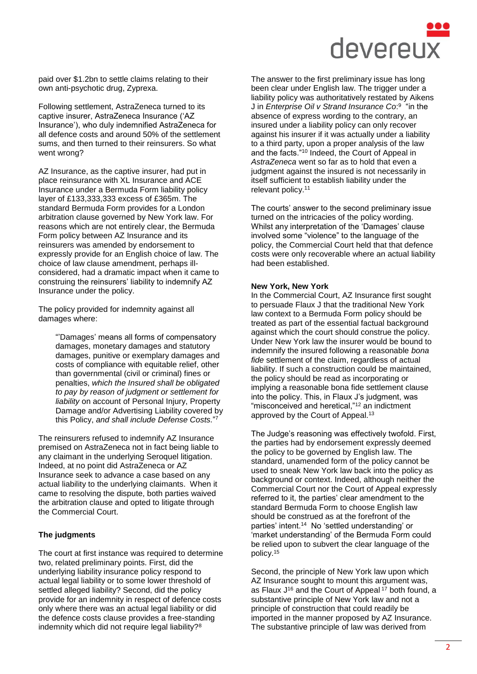

paid over \$1.2bn to settle claims relating to their own anti-psychotic drug, Zyprexa.

Following settlement, AstraZeneca turned to its captive insurer, AstraZeneca Insurance ('AZ Insurance'), who duly indemnified AstraZeneca for all defence costs and around 50% of the settlement sums, and then turned to their reinsurers. So what went wrong?

AZ Insurance, as the captive insurer, had put in place reinsurance with XL Insurance and ACE Insurance under a Bermuda Form liability policy layer of £133,333,333 excess of £365m. The standard Bermuda Form provides for a London arbitration clause governed by New York law. For reasons which are not entirely clear, the Bermuda Form policy between AZ Insurance and its reinsurers was amended by endorsement to expressly provide for an English choice of law. The choice of law clause amendment, perhaps illconsidered, had a dramatic impact when it came to construing the reinsurers' liability to indemnify AZ Insurance under the policy.

The policy provided for indemnity against all damages where:

> "'Damages' means all forms of compensatory damages, monetary damages and statutory damages, punitive or exemplary damages and costs of compliance with equitable relief, other than governmental (civil or criminal) fines or penalties, *which the Insured shall be obligated to pay by reason of judgment or settlement for liability* on account of Personal Injury, Property Damage and/or Advertising Liability covered by this Policy, *and shall include Defense Costs.*" 7

The reinsurers refused to indemnify AZ Insurance premised on AstraZeneca not in fact being liable to any claimant in the underlying Seroquel litigation. Indeed, at no point did AstraZeneca or AZ Insurance seek to advance a case based on any actual liability to the underlying claimants. When it came to resolving the dispute, both parties waived the arbitration clause and opted to litigate through the Commercial Court.

#### **The judgments**

The court at first instance was required to determine two, related preliminary points. First, did the underlying liability insurance policy respond to actual legal liability or to some lower threshold of settled alleged liability? Second, did the policy provide for an indemnity in respect of defence costs only where there was an actual legal liability or did the defence costs clause provides a free-standing indemnity which did not require legal liability?<sup>8</sup>

The answer to the first preliminary issue has long been clear under English law. The trigger under a liability policy was authoritatively restated by Aikens J in *Enterprise Oil v Strand Insurance Co*:<sup>9</sup> "in the absence of express wording to the contrary, an insured under a liability policy can only recover against his insurer if it was actually under a liability to a third party, upon a proper analysis of the law and the facts."<sup>10</sup> Indeed, the Court of Appeal in *AstraZeneca* went so far as to hold that even a judgment against the insured is not necessarily in itself sufficient to establish liability under the relevant policy.<sup>11</sup>

The courts' answer to the second preliminary issue turned on the intricacies of the policy wording. Whilst any interpretation of the 'Damages' clause involved some "violence" to the language of the policy, the Commercial Court held that that defence costs were only recoverable where an actual liability had been established.

#### **New York, New York**

In the Commercial Court, AZ Insurance first sought to persuade Flaux J that the traditional New York law context to a Bermuda Form policy should be treated as part of the essential factual background against which the court should construe the policy. Under New York law the insurer would be bound to indemnify the insured following a reasonable *bona fide* settlement of the claim, regardless of actual liability. If such a construction could be maintained, the policy should be read as incorporating or implying a reasonable bona fide settlement clause into the policy. This, in Flaux J's judgment, was "misconceived and heretical,"<sup>12</sup> an indictment approved by the Court of Appeal.<sup>13</sup>

The Judge's reasoning was effectively twofold. First, the parties had by endorsement expressly deemed the policy to be governed by English law. The standard, unamended form of the policy cannot be used to sneak New York law back into the policy as background or context. Indeed, although neither the Commercial Court nor the Court of Appeal expressly referred to it, the parties' clear amendment to the standard Bermuda Form to choose English law should be construed as at the forefront of the parties' intent.<sup>14</sup> No 'settled understanding' or 'market understanding' of the Bermuda Form could be relied upon to subvert the clear language of the policy.<sup>15</sup>

Second, the principle of New York law upon which AZ Insurance sought to mount this argument was, as Flaux J<sup>16</sup> and the Court of Appeal<sup>17</sup> both found, a substantive principle of New York law and not a principle of construction that could readily be imported in the manner proposed by AZ Insurance. The substantive principle of law was derived from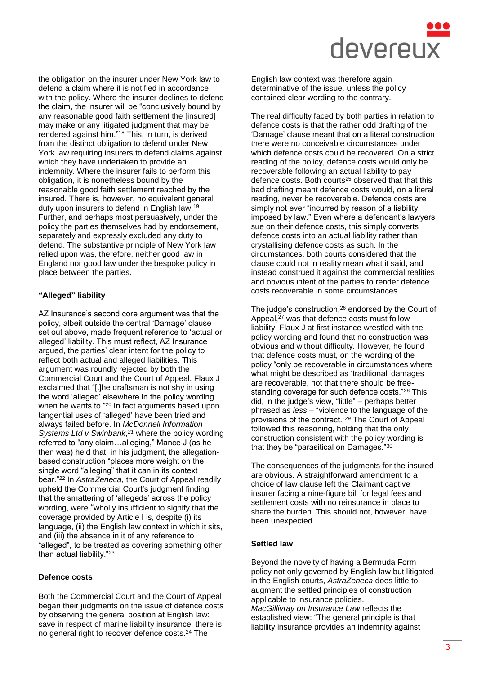

the obligation on the insurer under New York law to defend a claim where it is notified in accordance with the policy. Where the insurer declines to defend the claim, the insurer will be "conclusively bound by any reasonable good faith settlement the [insured] may make or any litigated judgment that may be rendered against him."<sup>18</sup> This, in turn, is derived from the distinct obligation to defend under New York law requiring insurers to defend claims against which they have undertaken to provide an indemnity. Where the insurer fails to perform this obligation, it is nonetheless bound by the reasonable good faith settlement reached by the insured. There is, however, no equivalent general duty upon insurers to defend in English law.<sup>19</sup> Further, and perhaps most persuasively, under the policy the parties themselves had by endorsement, separately and expressly excluded any duty to defend. The substantive principle of New York law relied upon was, therefore, neither good law in England nor good law under the bespoke policy in place between the parties.

### **"Alleged" liability**

AZ Insurance's second core argument was that the policy, albeit outside the central 'Damage' clause set out above, made frequent reference to 'actual or alleged' liability. This must reflect, AZ Insurance argued, the parties' clear intent for the policy to reflect both actual and alleged liabilities. This argument was roundly rejected by both the Commercial Court and the Court of Appeal. Flaux J exclaimed that "[t]he draftsman is not shy in using the word 'alleged' elsewhere in the policy wording when he wants to."<sup>20</sup> In fact arguments based upon tangential uses of 'alleged' have been tried and always failed before. In *McDonnell Information Systems Ltd v Swinbank*, *<sup>21</sup>* where the policy wording referred to "any claim…alleging," Mance J (as he then was) held that, in his judgment, the allegationbased construction "places more weight on the single word "alleging" that it can in its context bear."<sup>22</sup> In *AstraZeneca*, the Court of Appeal readily upheld the Commercial Court's judgment finding that the smattering of 'allegeds' across the policy wording, were "wholly insufficient to signify that the coverage provided by Article I is, despite (i) its language, (ii) the English law context in which it sits, and (iii) the absence in it of any reference to "alleged", to be treated as covering something other than actual liability."<sup>23</sup>

#### **Defence costs**

Both the Commercial Court and the Court of Appeal began their judgments on the issue of defence costs by observing the general position at English law: save in respect of marine liability insurance, there is no general right to recover defence costs.<sup>24</sup> The

English law context was therefore again determinative of the issue, unless the policy contained clear wording to the contrary.

The real difficulty faced by both parties in relation to defence costs is that the rather odd drafting of the 'Damage' clause meant that on a literal construction there were no conceivable circumstances under which defence costs could be recovered. On a strict reading of the policy, defence costs would only be recoverable following an actual liability to pay defence costs. Both courts<sup>25</sup> observed that that this bad drafting meant defence costs would, on a literal reading, never be recoverable. Defence costs are simply not ever "incurred by reason of a liability imposed by law." Even where a defendant's lawyers sue on their defence costs, this simply converts defence costs into an actual liability rather than crystallising defence costs as such. In the circumstances, both courts considered that the clause could not in reality mean what it said, and instead construed it against the commercial realities and obvious intent of the parties to render defence costs recoverable in some circumstances.

The judge's construction,<sup>26</sup> endorsed by the Court of Appeal,<sup>27</sup> was that defence costs must follow liability. Flaux J at first instance wrestled with the policy wording and found that no construction was obvious and without difficulty. However, he found that defence costs must, on the wording of the policy "only be recoverable in circumstances where what might be described as 'traditional' damages are recoverable, not that there should be freestanding coverage for such defence costs."<sup>28</sup> This did, in the judge's view, "little" – perhaps better phrased as *less* – "violence to the language of the provisions of the contract."<sup>29</sup> The Court of Appeal followed this reasoning, holding that the only construction consistent with the policy wording is that they be "parasitical on Damages."<sup>30</sup>

The consequences of the judgments for the insured are obvious. A straightforward amendment to a choice of law clause left the Claimant captive insurer facing a nine-figure bill for legal fees and settlement costs with no reinsurance in place to share the burden. This should not, however, have been unexpected.

#### **Settled law**

Beyond the novelty of having a Bermuda Form policy not only governed by English law but litigated in the English courts, *AstraZeneca* does little to augment the settled principles of construction applicable to insurance policies. *MacGillivray on Insurance Law* reflects the established view: "The general principle is that liability insurance provides an indemnity against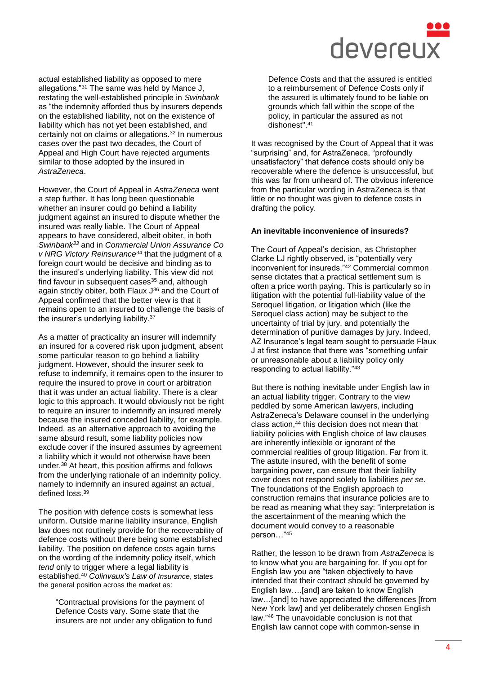

actual established liability as opposed to mere allegations."<sup>31</sup> The same was held by Mance J, restating the well-established principle in *Swinbank* as "the indemnity afforded thus by insurers depends on the established liability, not on the existence of liability which has not yet been established, and certainly not on claims or allegations.<sup>32</sup> In numerous cases over the past two decades, the Court of Appeal and High Court have rejected arguments similar to those adopted by the insured in *AstraZeneca*.

However, the Court of Appeal in *AstraZeneca* went a step further. It has long been questionable whether an insurer could go behind a liability judgment against an insured to dispute whether the insured was really liable. The Court of Appeal appears to have considered, albeit obiter, in both *Swinbank<sup>33</sup>* and in *Commercial Union Assurance Co v NRG Victory Reinsurance*<sup>34</sup> that the judgment of a foreign court would be decisive and binding as to the insured's underlying liability. This view did not find favour in subsequent cases $35$  and, although again strictly obiter, both Flaux J<sup>36</sup> and the Court of Appeal confirmed that the better view is that it remains open to an insured to challenge the basis of the insurer's underlying liability.<sup>37</sup>

As a matter of practicality an insurer will indemnify an insured for a covered risk upon judgment, absent some particular reason to go behind a liability judgment. However, should the insurer seek to refuse to indemnify, it remains open to the insurer to require the insured to prove in court or arbitration that it was under an actual liability. There is a clear logic to this approach. It would obviously not be right to require an insurer to indemnify an insured merely because the insured conceded liability, for example. Indeed, as an alternative approach to avoiding the same absurd result, some liability policies now exclude cover if the insured assumes by agreement a liability which it would not otherwise have been under.<sup>38</sup> At heart, this position affirms and follows from the underlying rationale of an indemnity policy, namely to indemnify an insured against an actual, defined loss.<sup>39</sup>

The position with defence costs is somewhat less uniform. Outside marine liability insurance, English law does not routinely provide for the recoverability of defence costs without there being some established liability. The position on defence costs again turns on the wording of the indemnity policy itself, which *tend* only to trigger where a legal liability is established.<sup>40</sup> *Colinvaux's Law of Insurance*, states the general position across the market as:

"Contractual provisions for the payment of Defence Costs vary. Some state that the insurers are not under any obligation to fund

Defence Costs and that the assured is entitled to a reimbursement of Defence Costs only if the assured is ultimately found to be liable on grounds which fall within the scope of the policy, in particular the assured as not dishonest".<sup>41</sup>

It was recognised by the Court of Appeal that it was "surprising" and, for AstraZeneca, "profoundly unsatisfactory" that defence costs should only be recoverable where the defence is unsuccessful, but this was far from unheard of. The obvious inference from the particular wording in AstraZeneca is that little or no thought was given to defence costs in drafting the policy.

#### **An inevitable inconvenience of insureds?**

The Court of Appeal's decision, as Christopher Clarke LJ rightly observed, is "potentially very inconvenient for insureds."<sup>42</sup> Commercial common sense dictates that a practical settlement sum is often a price worth paying. This is particularly so in litigation with the potential full-liability value of the Seroquel litigation, or litigation which (like the Seroquel class action) may be subject to the uncertainty of trial by jury, and potentially the determination of punitive damages by jury. Indeed, AZ Insurance's legal team sought to persuade Flaux J at first instance that there was "something unfair or unreasonable about a liability policy only responding to actual liability."<sup>43</sup>

But there is nothing inevitable under English law in an actual liability trigger. Contrary to the view peddled by some American lawyers, including AstraZeneca's Delaware counsel in the underlying class action,<sup>44</sup> this decision does not mean that liability policies with English choice of law clauses are inherently inflexible or ignorant of the commercial realities of group litigation. Far from it. The astute insured, with the benefit of some bargaining power, can ensure that their liability cover does not respond solely to liabilities *per se*. The foundations of the English approach to construction remains that insurance policies are to be read as meaning what they say: "interpretation is the ascertainment of the meaning which the document would convey to a reasonable person…"<sup>45</sup>

Rather, the lesson to be drawn from *AstraZeneca* is to know what you are bargaining for. If you opt for English law you are "taken objectively to have intended that their contract should be governed by English law….[and] are taken to know English law…[and] to have appreciated the differences [from New York law] and yet deliberately chosen English law."<sup>46</sup> The unavoidable conclusion is not that English law cannot cope with common-sense in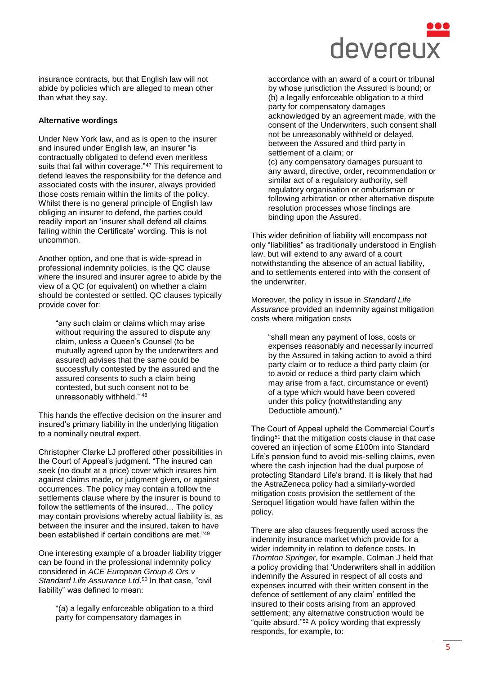

insurance contracts, but that English law will not abide by policies which are alleged to mean other than what they say.

#### **Alternative wordings**

Under New York law, and as is open to the insurer and insured under English law, an insurer "is contractually obligated to defend even meritless suits that fall within coverage."47 This requirement to defend leaves the responsibility for the defence and associated costs with the insurer, always provided those costs remain within the limits of the policy. Whilst there is no general principle of English law obliging an insurer to defend, the parties could readily import an 'insurer shall defend all claims falling within the Certificate' wording. This is not uncommon.

Another option, and one that is wide-spread in professional indemnity policies, is the QC clause where the insured and insurer agree to abide by the view of a QC (or equivalent) on whether a claim should be contested or settled. QC clauses typically provide cover for:

"any such claim or claims which may arise without requiring the assured to dispute any claim, unless a Queen's Counsel (to be mutually agreed upon by the underwriters and assured) advises that the same could be successfully contested by the assured and the assured consents to such a claim being contested, but such consent not to be unreasonably withheld." <sup>48</sup>

This hands the effective decision on the insurer and insured's primary liability in the underlying litigation to a nominally neutral expert.

Christopher Clarke LJ proffered other possibilities in the Court of Appeal's judgment. "The insured can seek (no doubt at a price) cover which insures him against claims made, or judgment given, or against occurrences. The policy may contain a follow the settlements clause where by the insurer is bound to follow the settlements of the insured… The policy may contain provisions whereby actual liability is, as between the insurer and the insured, taken to have been established if certain conditions are met."<sup>49</sup>

One interesting example of a broader liability trigger can be found in the professional indemnity policy considered in *ACE European Group & Ors v*  Standard Life Assurance Ltd.<sup>50</sup> In that case, "civil liability" was defined to mean:

"(a) a legally enforceable obligation to a third party for compensatory damages in

accordance with an award of a court or tribunal by whose jurisdiction the Assured is bound; or (b) a legally enforceable obligation to a third party for compensatory damages acknowledged by an agreement made, with the consent of the Underwriters, such consent shall not be unreasonably withheld or delayed, between the Assured and third party in settlement of a claim; or (c) any compensatory damages pursuant to any award, directive, order, recommendation or similar act of a regulatory authority, self regulatory organisation or ombudsman or following arbitration or other alternative dispute resolution processes whose findings are binding upon the Assured.

This wider definition of liability will encompass not only "liabilities" as traditionally understood in English law, but will extend to any award of a court notwithstanding the absence of an actual liability, and to settlements entered into with the consent of the underwriter.

Moreover, the policy in issue in *Standard Life Assurance* provided an indemnity against mitigation costs where mitigation costs

"shall mean any payment of loss, costs or expenses reasonably and necessarily incurred by the Assured in taking action to avoid a third party claim or to reduce a third party claim (or to avoid or reduce a third party claim which may arise from a fact, circumstance or event) of a type which would have been covered under this policy (notwithstanding any Deductible amount)."

The Court of Appeal upheld the Commercial Court's finding<sup>51</sup> that the mitigation costs clause in that case covered an injection of some £100m into Standard Life's pension fund to avoid mis-selling claims, even where the cash injection had the dual purpose of protecting Standard Life's brand. It is likely that had the AstraZeneca policy had a similarly-worded mitigation costs provision the settlement of the Seroquel litigation would have fallen within the policy.

There are also clauses frequently used across the indemnity insurance market which provide for a wider indemnity in relation to defence costs. In *Thornton Springer*, for example, Colman J held that a policy providing that 'Underwriters shall in addition indemnify the Assured in respect of all costs and expenses incurred with their written consent in the defence of settlement of any claim' entitled the insured to their costs arising from an approved settlement; any alternative construction would be "quite absurd."<sup>52</sup> A policy wording that expressly responds, for example, to: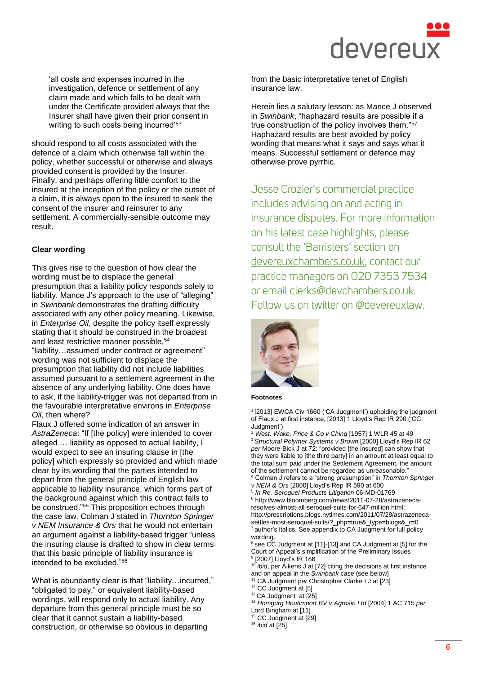

'all costs and expenses incurred in the investigation, defence or settlement of any claim made and which falls to be dealt with under the Certificate provided always that the Insurer shall have given their prior consent in writing to such costs being incurred'<sup>53</sup>

should respond to all costs associated with the defence of a claim which otherwise fall within the policy, whether successful or otherwise and always provided consent is provided by the Insurer. Finally, and perhaps offering little comfort to the insured at the inception of the policy or the outset of a claim, it is always open to the insured to seek the consent of the insurer and reinsurer to any settlement. A commercially-sensible outcome may result.

#### **Clear wording**

This gives rise to the question of how clear the wording must be to displace the general presumption that a liability policy responds solely to liability. Mance J's approach to the use of "alleging" in *Swinbank* demonstrates the drafting difficulty associated with any other policy meaning. Likewise, in *Enterprise Oil*, despite the policy itself expressly stating that it should be construed in the broadest and least restrictive manner possible, 54 "liability…assumed under contract or agreement" wording was not sufficient to displace the presumption that liability did not include liabilities assumed pursuant to a settlement agreement in the absence of any underlying liability. One does have to ask, if the liability-trigger was not departed from in the favourable interpretative environs in *Enterprise Oil*, then where?

Flaux J offered some indication of an answer in *AstraZeneca*: "If [the policy] were intended to cover alleged … liability as opposed to actual liability, I would expect to see an insuring clause in [the policy] which expressly so provided and which made clear by its wording that the parties intended to depart from the general principle of English law applicable to liability insurance, which forms part of the background against which this contract falls to be construed."<sup>55</sup> This proposition echoes through the case law. Colman J stated in *Thornton Springer v NEM Insurance & Ors* that he would not entertain an argument against a liability-based trigger "unless the insuring clause is drafted to show in clear terms that this basic principle of liability insurance is intended to be excluded."<sup>56</sup>

What is abundantly clear is that "liability…incurred," "obligated to pay," or equivalent liability-based wordings, will respond only to actual liability. Any departure from this general principle must be so clear that it cannot sustain a liability-based construction, or otherwise so obvious in departing

from the basic interpretative tenet of English insurance law.

Herein lies a salutary lesson: as Mance J observed in *Swinbank*, "haphazard results are possible if a true construction of the policy involves them."<sup>57</sup> Haphazard results are best avoided by policy wording that means what it says and says what it means. Successful settlement or defence may otherwise prove pyrrhic.

Jesse Crozier's commercial practice includes advising on and acting in insurance disputes. For more information on his latest case highlights, please consult the 'Barristers' section on [devereuxchambers.co.uk,](http://www.devereuxchambers.co.uk/) contact our practice managers on 020 7353 7534 or email clerks@devchambers.co.uk. Follow us on twitter on @devereuxlaw.



#### **Footnotes**

1 [2013] EWCA Civ 1660 ('CA Judgment') upholding the judgment of Flaux J at first instance, [2013] 1 Lloyd's Rep IR 290 ('CC Judgment')

<sup>2</sup> *West, Wake, Price & Co v Ching* [1957] 1 WLR 45 at 49 <sup>3</sup> *Structural Polymer Systems v Brown* [2000] Lloyd's Rep IR 62 *per* Moore-Bick J at 72: "provided [the insured] can show that they were liable to [the third party] in an amount at least equal to the total sum paid under the Settlement Agreement, the amount of the settlement cannot be regarded as unreasonable.

<sup>4</sup> Colman J refers to a "strong presumption" in *Thornton Springer v NEM & Ors* [2000] Lloyd's Rep IR 590 at 600

5 *In Re. Seroquel Products Litigation* 06-MD-01769

 $6$  [http://www.bloomberg.com/news/2011-07-28/astrazeneca](http://www.bloomberg.com/news/2011-07-28/astrazeneca-resolves-almost-all-seroquel-suits-for-647-million.html)[resolves-almost-all-seroquel-suits-for-647-million.html;](http://www.bloomberg.com/news/2011-07-28/astrazeneca-resolves-almost-all-seroquel-suits-for-647-million.html)  [http://prescriptions.blogs.nytimes.com/2011/07/28/astrazeneca](http://prescriptions.blogs.nytimes.com/2011/07/28/astrazeneca-settles-most-seroquel-suits/?_php=true&_type=blogs&_r=0)[settles-most-seroquel-suits/?\\_php=true&\\_type=blogs&\\_r=0](http://prescriptions.blogs.nytimes.com/2011/07/28/astrazeneca-settles-most-seroquel-suits/?_php=true&_type=blogs&_r=0)  $7$  author's italics. See appendix to CA Judgment for full policy wording.

<sup>8</sup> see CC Judgment at [11]-[13] and CA Judgment at [5] for the Court of Appeal's simplification of the Preliminary Issues 9 [2007] Lloyd's IR 186

<sup>10</sup> *ibid*, per Aikens J at [72] citing the decisions at first instance and on appeal in the *Swinbank* case (see below)

<sup>11</sup> CA Judgment p*er* Christopher Clarke LJ at [23]

<sup>12</sup> CC Judgment at [5]

<sup>13</sup> CA Judgment at [25]

<sup>14</sup> *Homgurg Houtimport BV v Agrosin Ltd* [2004] 1 AC 715 *per* Lord Bingham at [11]

<sup>15</sup> CC Judgment at [29]

<sup>16</sup> *ibid* at [25]